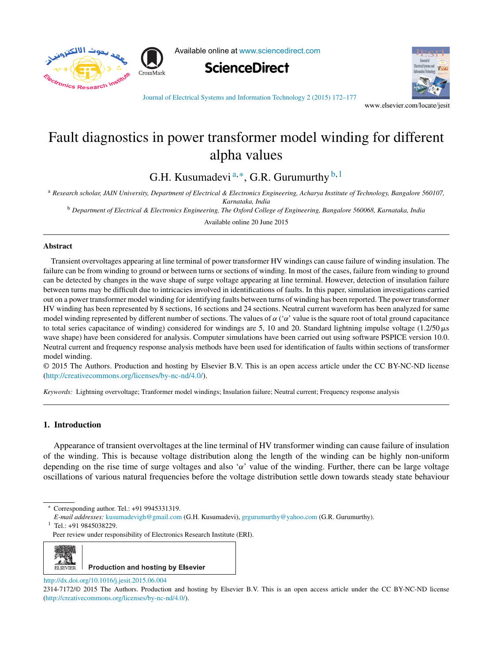

Available online at [www.sciencedirect.com](http://www.sciencedirect.com/science/journal/aip/23147172)





Journal of Electrical Systems and [Information](dx.doi.org/10.1016/j.jesit.2015.06.004) Technology 2 (2015) 172–177

www.elsevier.com/locate/jesit

# Fault diagnostics in power transformer model winding for different alpha values

G.H. Kusumadevi<sup>a,\*</sup>, G.R. Gurumurthy  $b$ ,<sup>1</sup>

<sup>a</sup> Research scholar, JAIN University, Department of Electrical & Electronics Engineering, Acharya Institute of Technology, Bangalore 560107, *Karnataka, India*

<sup>b</sup> Department of Electrical & Electronics Engineering, The Oxford College of Engineering, Bangalore 560068, Karnataka, India

Available online 20 June 2015

### **Abstract**

Transient overvoltages appearing at line terminal of power transformer HV windings can cause failure of winding insulation. The failure can be from winding to ground or between turns or sections of winding. In most of the cases, failure from winding to ground can be detected by changes in the wave shape of surge voltage appearing at line terminal. However, detection of insulation failure between turns may be difficult due to intricacies involved in identifications of faults. In this paper, simulation investigations carried out on a power transformer model winding for identifying faults between turns of winding has been reported. The power transformer HV winding has been represented by 8 sections, 16 sections and 24 sections. Neutral current waveform has been analyzed for same model winding represented by different number of sections. The values of  $\alpha$  (' $\alpha$ ' value is the square root of total ground capacitance to total series capacitance of winding) considered for windings are 5, 10 and 20. Standard lightning impulse voltage  $(1.2/50 \,\mu s)$ wave shape) have been considered for analysis. Computer simulations have been carried out using software PSPICE version 10.0. Neutral current and frequency response analysis methods have been used for identification of faults within sections of transformer model winding.

© 2015 The Authors. Production and hosting by Elsevier B.V. This is an open access article under the CC BY-NC-ND license [\(http://creativecommons.org/licenses/by-nc-nd/4.0/\)](http://creativecommons.org/licenses/by-nc-nd/4.0/).

*Keywords:* Lightning overvoltage; Tranformer model windings; Insulation failure; Neutral current; Frequency response analysis

## **1. Introduction**

Appearance of transient overvoltages at the line terminal of HV transformer winding can cause failure of insulation of the winding. This is because voltage distribution along the length of the winding can be highly non-uniform depending on the rise time of surge voltages and also ' $\alpha$ ' value of the winding. Further, there can be large voltage oscillations of various natural frequencies before the voltage distribution settle down towards steady state behaviour

 $1$  Tel.: +91 9845038229.

Peer review under responsibility of Electronics Research Institute (ERI).



[http://dx.doi.org/10.1016/j.jesit.2015.06.004](dx.doi.org/10.1016/j.jesit.2015.06.004)

Corresponding author. Tel.: +91 9945331319.

*E-mail addresses:* [kusumadevigh@gmail.com](mailto:kusumadevigh@gmail.com) (G.H. Kusumadevi), [grgurumurthy@yahoo.com](mailto:grgurumurthy@yahoo.com) (G.R. Gurumurthy).

<sup>2314-7172/©</sup> 2015 The Authors. Production and hosting by Elsevier B.V. This is an open access article under the CC BY-NC-ND license (<http://creativecommons.org/licenses/by-nc-nd/4.0/>).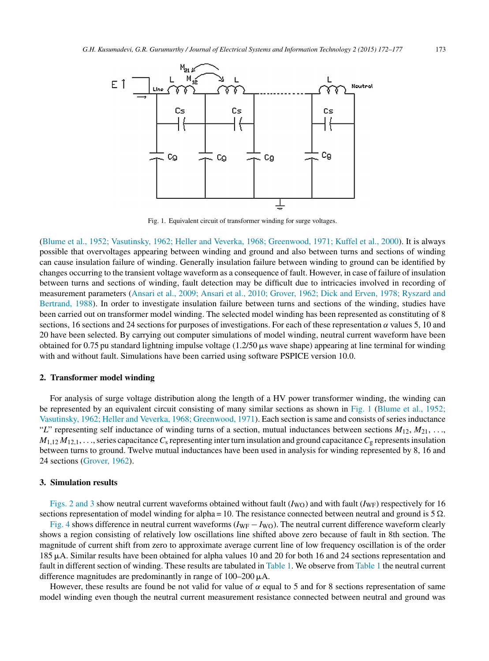

Fig. 1. Equivalent circuit of transformer winding for surge voltages.

[\(Blume](#page--1-0) et [al.,](#page--1-0) [1952;](#page--1-0) [Vasutinsky,](#page--1-0) [1962;](#page--1-0) [Heller](#page--1-0) [and](#page--1-0) [Veverka,](#page--1-0) [1968;](#page--1-0) [Greenwood,](#page--1-0) [1971;](#page--1-0) [Kuffel](#page--1-0) et [al.,](#page--1-0) [2000\).](#page--1-0) It is always possible that overvoltages appearing between winding and ground and also between turns and sections of winding can cause insulation failure of winding. Generally insulation failure between winding to ground can be identified by changes occurring to the transient voltage waveform as a consequence of fault. However, in case of failure of insulation between turns and sections of winding, fault detection may be difficult due to intricacies involved in recording of measurement parameters ([Ansari](#page--1-0) et [al.,](#page--1-0) [2009;](#page--1-0) [Ansari](#page--1-0) et [al.,](#page--1-0) [2010;](#page--1-0) [Grover,](#page--1-0) [1962;](#page--1-0) [Dick](#page--1-0) [and](#page--1-0) [Erven,](#page--1-0) [1978;](#page--1-0) [Ryszard](#page--1-0) [and](#page--1-0) [Bertrand,](#page--1-0) [1988\).](#page--1-0) In order to investigate insulation failure between turns and sections of the winding, studies have been carried out on transformer model winding. The selected model winding has been represented as constituting of 8 sections, 16 sections and 24 sections for purposes of investigations. For each of these representation  $\alpha$  values 5, 10 and 20 have been selected. By carrying out computer simulations of model winding, neutral current waveform have been obtained for 0.75 pu standard lightning impulse voltage  $(1.2/50 \mu s$  wave shape) appearing at line terminal for winding with and without fault. Simulations have been carried using software PSPICE version 10.0.

#### **2. Transformer model winding**

For analysis of surge voltage distribution along the length of a HV power transformer winding, the winding can be represented by an equivalent circuit consisting of many similar sections as shown in Fig. 1 [\(Blume](#page--1-0) et [al.,](#page--1-0) [1952;](#page--1-0) [Vasutinsky,](#page--1-0) [1962;](#page--1-0) [Heller](#page--1-0) [and](#page--1-0) [Veverka,](#page--1-0) [1968;](#page--1-0) [Greenwood,](#page--1-0) [1971\).](#page--1-0) Each section is same and consists of series inductance "*L*" representing self inductance of winding turns of a section, mutual inductances between sections  $M_{12}, M_{21}, \ldots$  $M_{1,12} M_{12,1}$ , ..., series capacitance  $C_s$  representing interturn insulation and ground capacitance  $C_g$  represents insulation between turns to ground. Twelve mutual inductances have been used in analysis for winding represented by 8, 16 and 24 sections [\(Grover,](#page--1-0) [1962\).](#page--1-0)

### **3. Simulation results**

[Figs.](#page--1-0) 2 and 3 show neutral current waveforms obtained without fault  $(I_{\text{WO}})$  and with fault  $(I_{\text{WF}})$  respectively for 16 sections representation of model winding for alpha = 10. The resistance connected between neutral and ground is  $5 \Omega$ .

[Fig.](#page--1-0) 4 shows difference in neutral current waveforms (*I*<sub>WF</sub> − *I*<sub>WO</sub>). The neutral current difference waveform clearly shows a region consisting of relatively low oscillations line shifted above zero because of fault in 8th section. The magnitude of current shift from zero to approximate average current line of low frequency oscillation is of the order 185 µA. Similar results have been obtained for alpha values 10 and 20 for both 16 and 24 sections representation and fault in different section of winding. These results are tabulated in [Table](#page--1-0) 1. We observe from [Table](#page--1-0) 1 the neutral current difference magnitudes are predominantly in range of  $100-200 \mu A$ .

However, these results are found be not valid for value of  $\alpha$  equal to 5 and for 8 sections representation of same model winding even though the neutral current measurement resistance connected between neutral and ground was